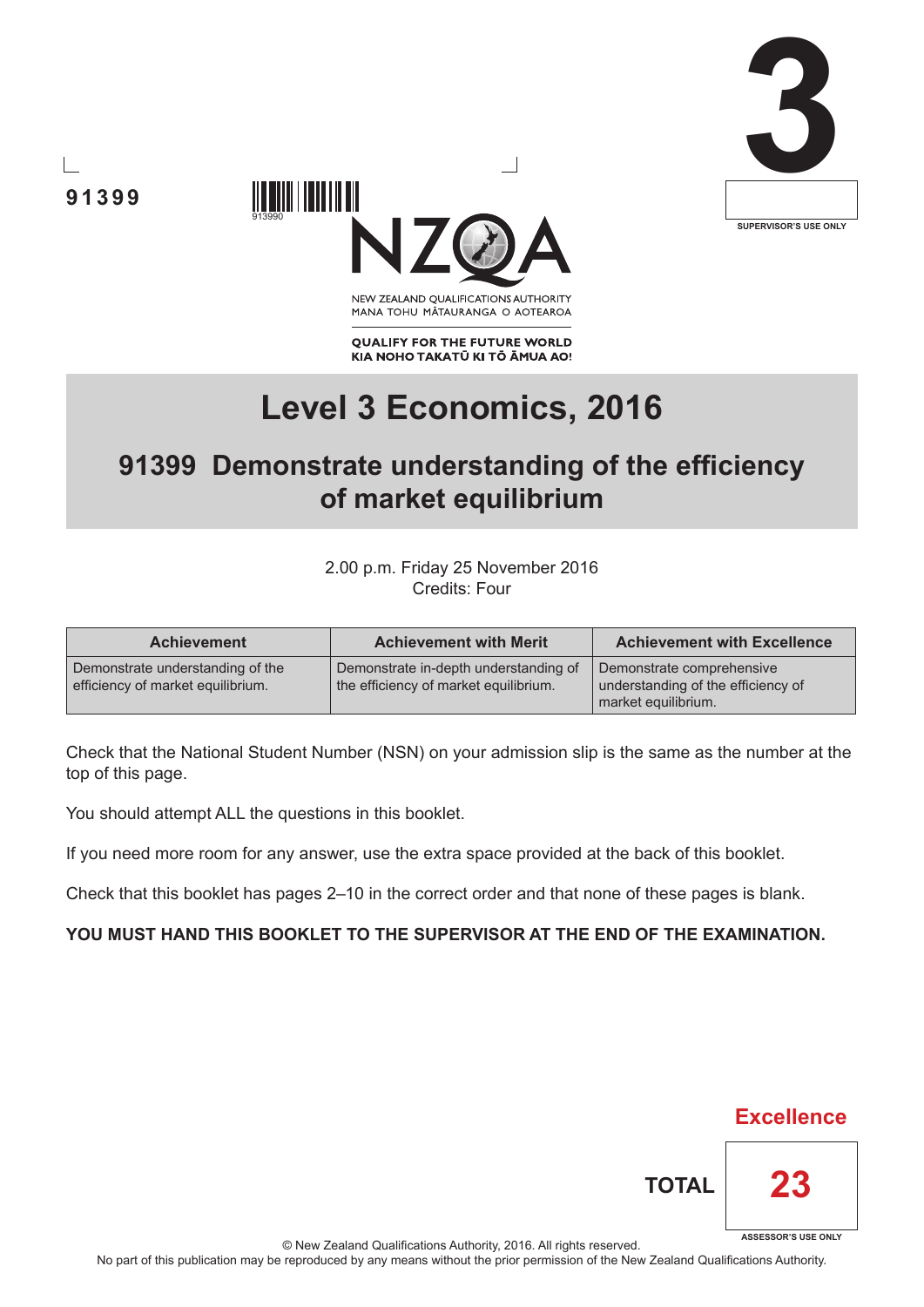





NEW ZEALAND OUALIFICATIONS AUTHORITY MANA TOHU MATAURANGA O AOTEAROA

**QUALIFY FOR THE FUTURE WORLD** KIA NOHO TAKATŪ KI TŌ ĀMUA AO!

# **Level 3 Economics, 2016**

## **91399 Demonstrate understanding of the efficiency of market equilibrium**

2.00 p.m. Friday 25 November 2016 Credits: Four

| <b>Achievement</b>                                                    | <b>Achievement with Merit</b>                                                  | <b>Achievement with Excellence</b>                                                     |
|-----------------------------------------------------------------------|--------------------------------------------------------------------------------|----------------------------------------------------------------------------------------|
| Demonstrate understanding of the<br>efficiency of market equilibrium. | Demonstrate in-depth understanding of<br>the efficiency of market equilibrium. | Demonstrate comprehensive<br>understanding of the efficiency of<br>market equilibrium. |

Check that the National Student Number (NSN) on your admission slip is the same as the number at the top of this page.

You should attempt ALL the questions in this booklet.

If you need more room for any answer, use the extra space provided at the back of this booklet.

Check that this booklet has pages 2–10 in the correct order and that none of these pages is blank.

### **YOU MUST HAND THIS BOOKLET TO THE SUPERVISOR AT THE END OF THE EXAMINATION.**



**TOTAL**

**ASSESSOR'S USE ONLY**

**23**

© New Zealand Qualifications Authority, 2016. All rights reserved.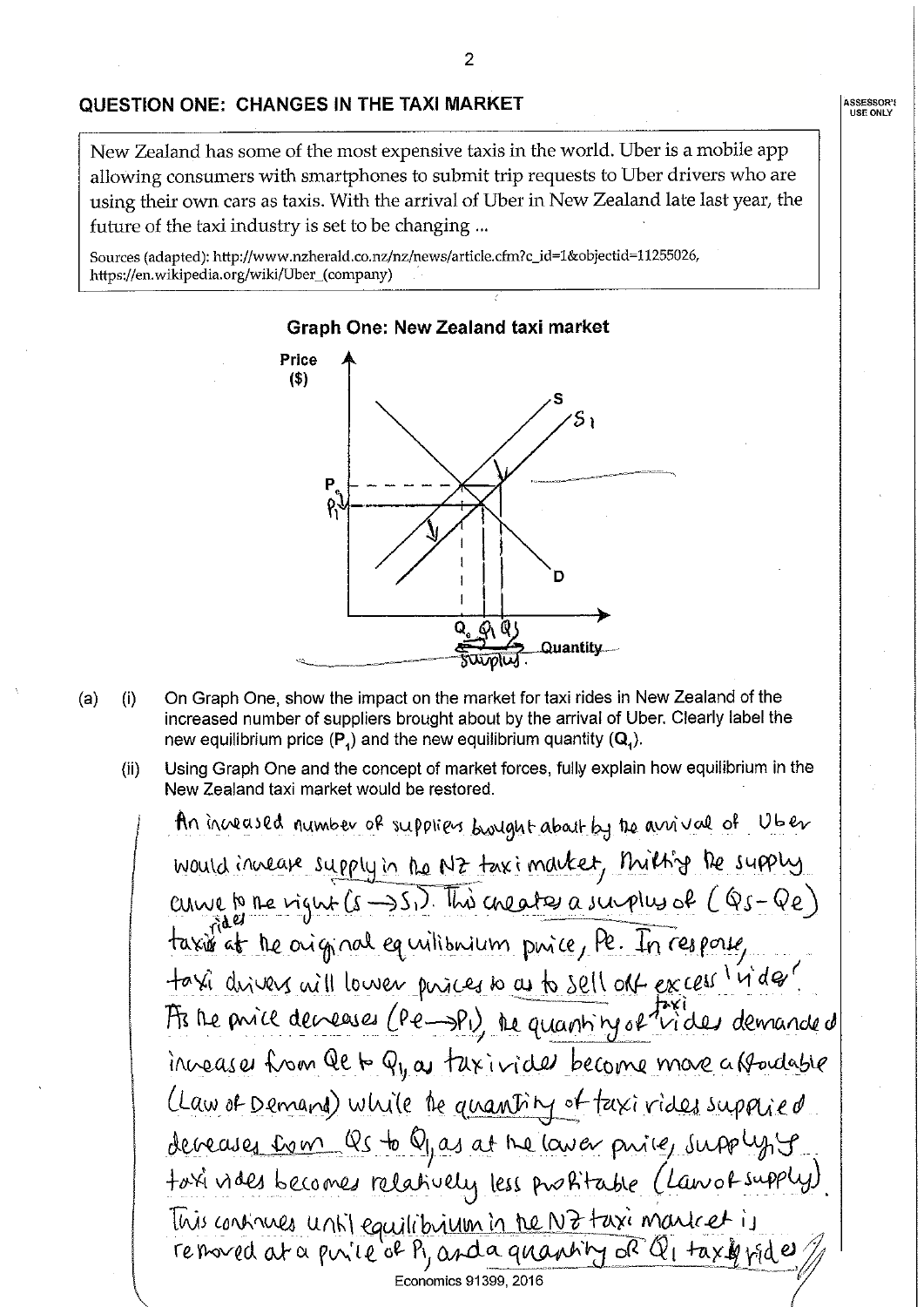ASSESSOR'S<br>USE ONLY

### QUESTION ONE: CHANGES IN THE TAXI MARKET

New Zealand has some of the most expensive taxis in the world. Uber is a mobile app allowing consumers with smartphones to submit trip requests to Uber drivers who are using their own cars as taxis. With the arrival of Uber in New Zealand late last year, the future of the taxi industry is set to be changing...

Sources (adapted): http://www.nzherald.co.nz/nz/news/article.cfm?c\_id=1&objectid=11255026, https://en.wikipedia.org/wiki/Uber\_(company)



- $(a)$  $(i)$ On Graph One, show the impact on the market for taxi rides in New Zealand of the increased number of suppliers brought about by the arrival of Uber. Clearly label the new equilibrium price  $(P_4)$  and the new equilibrium quantity  $(Q_4)$ .
	- Using Graph One and the concept of market forces, fully explain how equilibrium in the  $(ii)$ New Zealand taxi market would be restored.

An increased number of suppliers brought about by the arrival of Uber would invease supply in the NZ taximarket, thiltig be supply curve la me rignt (5-251). This creates a simples of (Q5-Qe) taxis at the original equilibrium puice, Pe. In response, taxi direvers will lower phaces to as to sell off excess in des? As the price decreases (Pe-PI) the quantity of hides demanded inveaser from Qe to Q1, as taxivided become more a roadable (Law of Demand) while the quantity of faxi rides supplied deveases tom Qs to Qy as at the laver price, supply, y toxi vides becomes relatively less prositable (Lanos supply). This contrues until equilibrium in the NZ taxi montret is removed at a puile of Py and a quantity of Q, taxiquide Economics 91399, 2016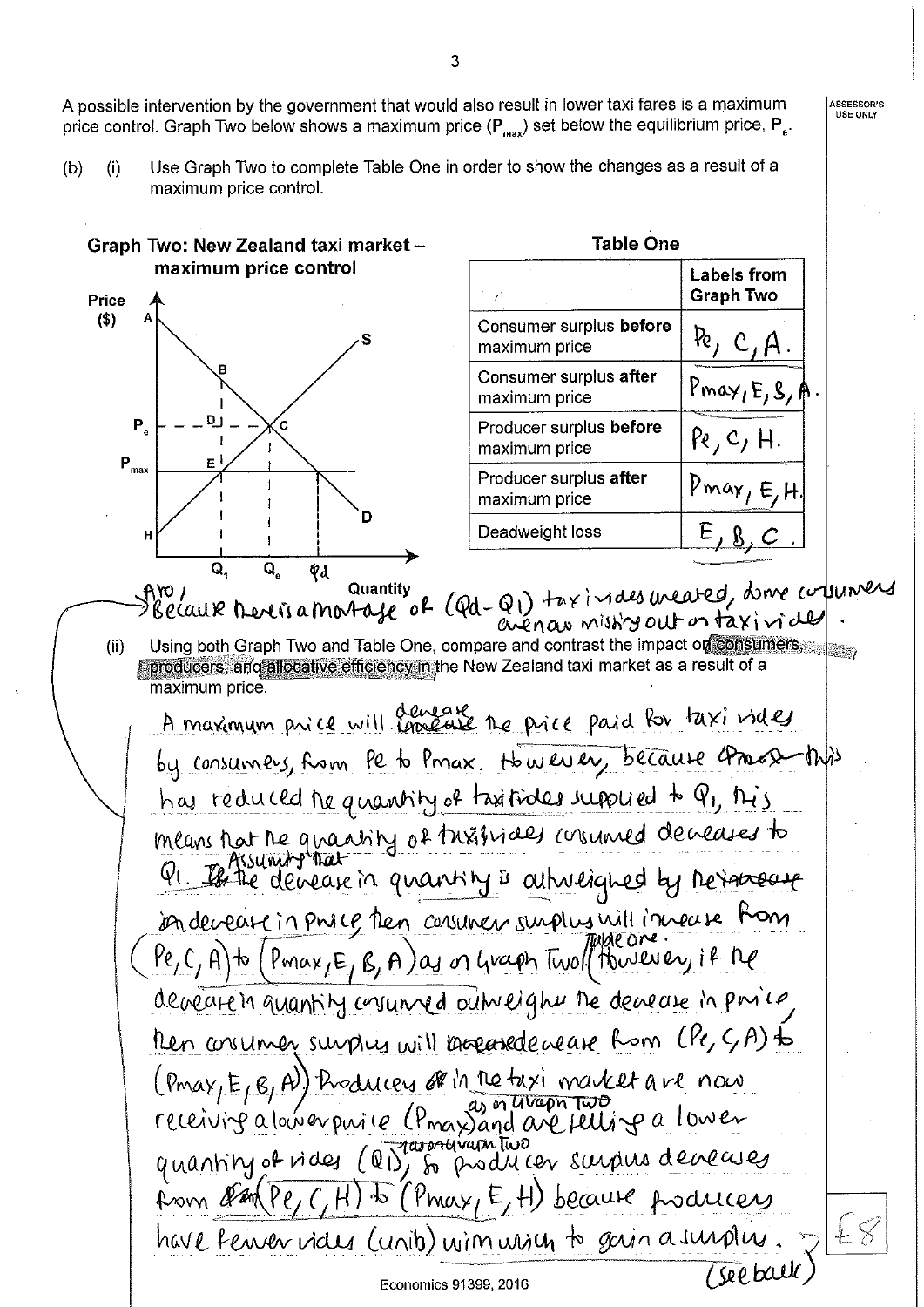A possible intervention by the government that would also result in lower taxi fares is a maximum price control. Graph Two below shows a maximum price ( $P_{max}$ ) set below the equilibrium price,  $P_{e}$ .

Use Graph Two to complete Table One in order to show the changes as a result of a  $(i)$  $(b)$ maximum price control.

Graph Two: New Zealand taxi market -**Table One** maximum price control **Labels from Graph Two Price**  $($ \$) Consumer surplus before  $Re, C, A.$ maximum price Consumer surplus after Pmay,  $E, S, A$ maximum price **D** P, 'c Producer surplus before  $Re, c, H.$ maximum price  $P_{max}$ ЕI Producer surplus after  $Pmax, E, H$ maximum price D  $E, 8, C$ Deadweight loss H Q, Q, Qd Aro, Quantity of (Qd-Q1) taxindes weared, dome columers avenau missing out on taxiviale Using both Graph Two and Table One, compare and contrast the impact on consumers  $(ii)$ producers, and allocative efficiency in the New Zealand taxi market as a result of a maximum price. A maximum price will cancele the price paid for taxi vides by consumers, from le to Pmax. However, because comment this has reduced the quantity of taxitiales supplied to Q1, this means hat the quantity of this gives consumed decreases to indevease in phace then consumer surplus will invease from  $Pe_1C_1A$  to  $(Pmax_1E_1B_2A)$  as on Graph Two (there are in if the deveate in quantity consumed outweight the devease in posico Then conumer surplus will knoceasede cease from (Pe, SA) to (Pmax, E, A) hoduces of in the taxi market are now<br>receiving a lower purice (Pmax) and are felling a lower<br>quantity of rides (QD) so producer surpus deveases from an Pe, C, H) to (Pmax, E, H) because producers have ferver vides (units) wim wisch to gain a surplus (see ball Economics 91399, 2016

ASSESSOR'S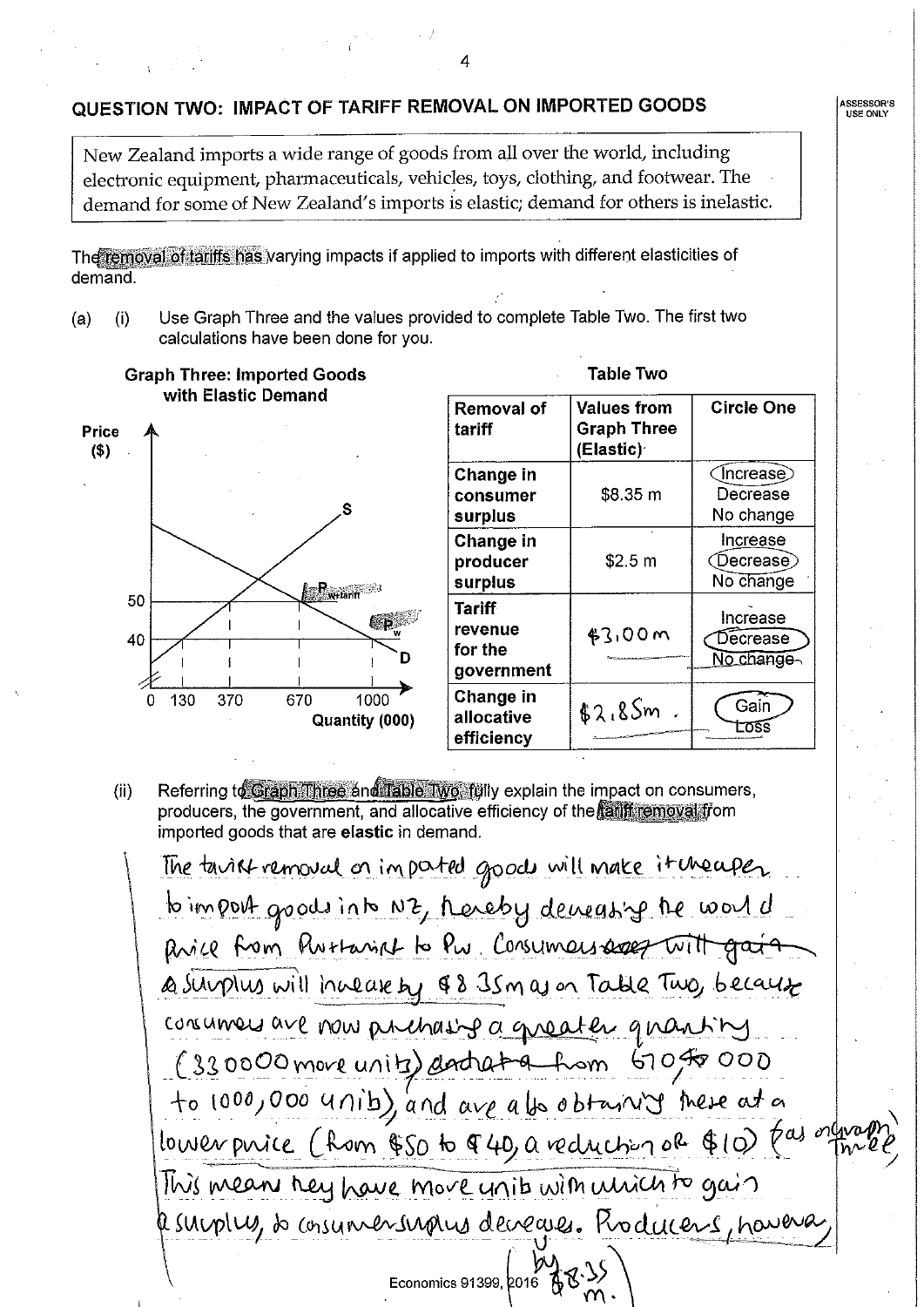### QUESTION TWO: IMPACT OF TARIFF REMOVAL ON IMPORTED GOODS

New Zealand imports a wide range of goods from all over the world, including electronic equipment, pharmaceuticals, vehicles, toys, clothing, and footwear. The demand for some of New Zealand's imports is elastic; demand for others is inelastic.

The removal of tariffs has varying impacts if applied to imports with different elasticities of demand.

Use Graph Three and the values provided to complete Table Two. The first two  $(a)$  $(i)$ calculations have been done for you.

**Graph Three: Imported Goods** with Elastic Demand



| Table Two                                  |                                                |                                    |  |  |
|--------------------------------------------|------------------------------------------------|------------------------------------|--|--|
| <b>Removal of</b><br>tariff                | Values from<br><b>Graph Three</b><br>(Elastic) | <b>Circle One</b>                  |  |  |
| Change in<br>consumer<br>surplus           | \$8.35 m                                       | (Increase<br>Decrease<br>No change |  |  |
| Change in<br>producer<br>surplus           | \$2.5 m                                        | Increase<br>Decrease)<br>No change |  |  |
| Tariff<br>revenue<br>for the<br>government | <b>\$3,00 m</b>                                | Increase<br>Decrease<br>No change  |  |  |
| Change in<br>allocative<br>efficiency      | \$2.85m                                        | Gain                               |  |  |

Referring to Graph Three and Table Two, fully explain the impact on consumers,  $(ii)$ producers, the government, and allocative efficiency of the tariff removal from imported goods that are elastic in demand.

The tarist removal on imported goods will make it theaper to import goods into NZ, hereby demeasing the world Rice from Purtainst to Pw. Consumers ages with gat a surplus will include by \$8 35m as on Table Two, because concurrers are now prechasing a greater quantity (330000 move units) and at a hom GOF 000 to 1000,000 unib), and are also btain it here at a lower price (hom \$50 to \$40, a reduction of \$10) (a) orthogo This means hey have more units with unich to gain Resurptus, so consumentangues decreases. Roducens, haveva Economics 91399, 2016

**ASSESSOR'S<br>USE ONLY**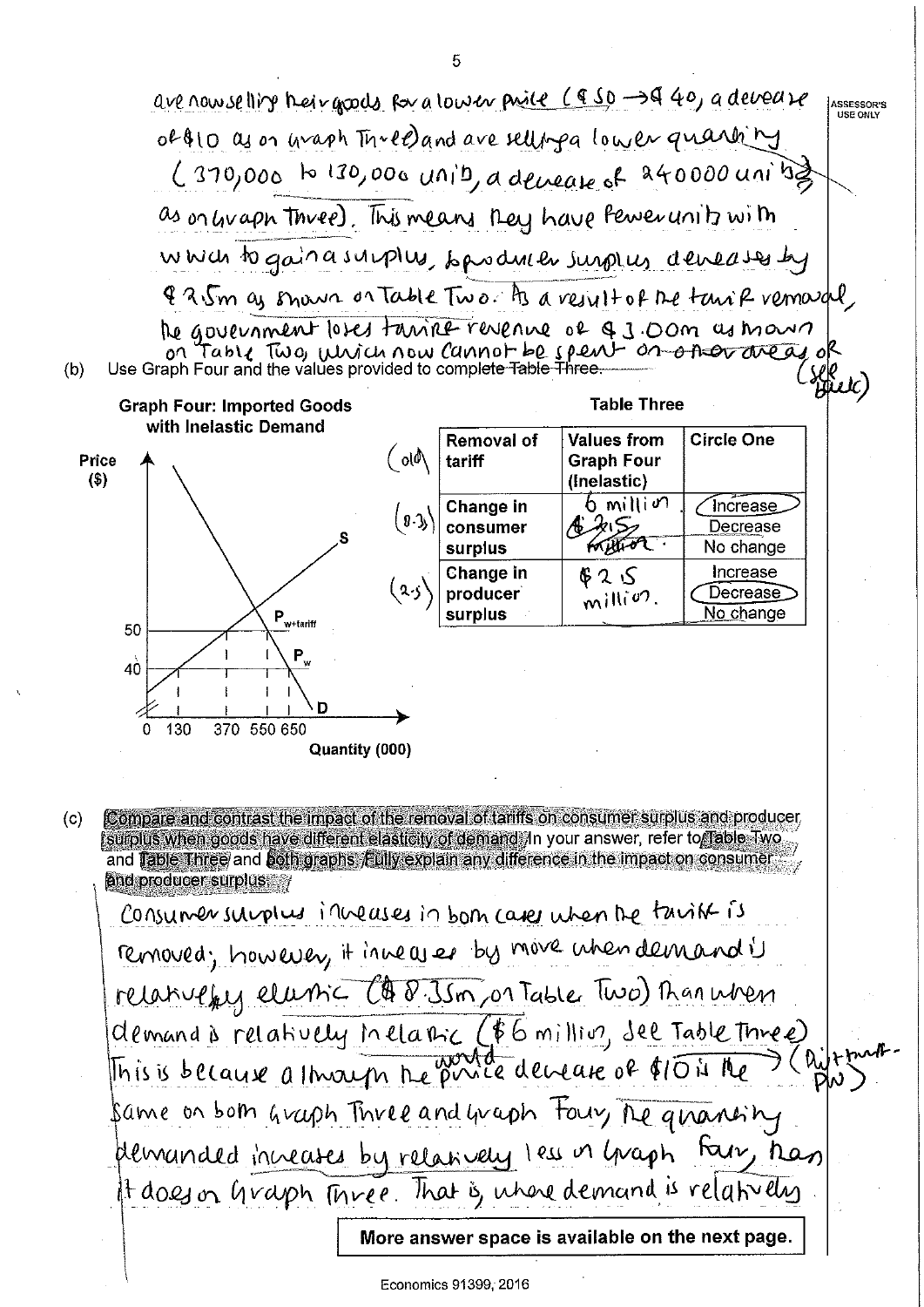are now selling their grows for a low en price (950-3440, a develope ASSESSOR'S of \$10 as on waph  $\pi$ red and are selling a lower quantity  $(370,000)$  to 130,000 unib, a devease of 240000 units as onlivaph three). This means they have Pewerunity with which to gain a supplus, bandwe burplus deveases by & 2.5m as snown on Table Two he a result of the tank remarcal the government loses tanine revenue of 93.00m as mount on Table Two, which now Cannot be spent on other areas of  $(b)$ ge<br>Buld **Table Three Graph Four: Imported Goods** with Inelastic Demand Removal of **Values from Circle One**  $\mathcal{M}$ Price **Graph Four** tariff  $($ \$ (Inelastic)  $6$  million Change in ์ Increase  $(0.3)$ A MS consumer Decrease tothion surplus No change Increase **Change in**  $$2S$ Decrease producer  $m$ illion. No change  $\mathsf{P}_{\text{w+tariff}}$ surplus 50  $P_{\rm y}$ 40 D 0 130 370 550 650 Quantity (000) Compare and contrast the impact of the removal of tariffs on consumer surplus and producer  $(c)$ surplus when goods have different elasticity of demand. In your answer, refer to Table Two and Table Three and both graphs Eully explain any difference in the impact on consumer and producer surplus Consumersurplus inveases in born cases when the tarist is removed; however, it inneares by move when demand is relativeful elumic C& 8. Jsm, or Table Two) Than when demand & relatively inclasic (\$6 million, see Table Three) This is because a through the price devease of \$10 is the C Queta<br>PW Same on both Graph Three and Graph Four, The granishy plemanded increases by relatively less in graph Fair, has It does on Graph Three. That is, where demand is relatively

More answer space is available on the next page.

5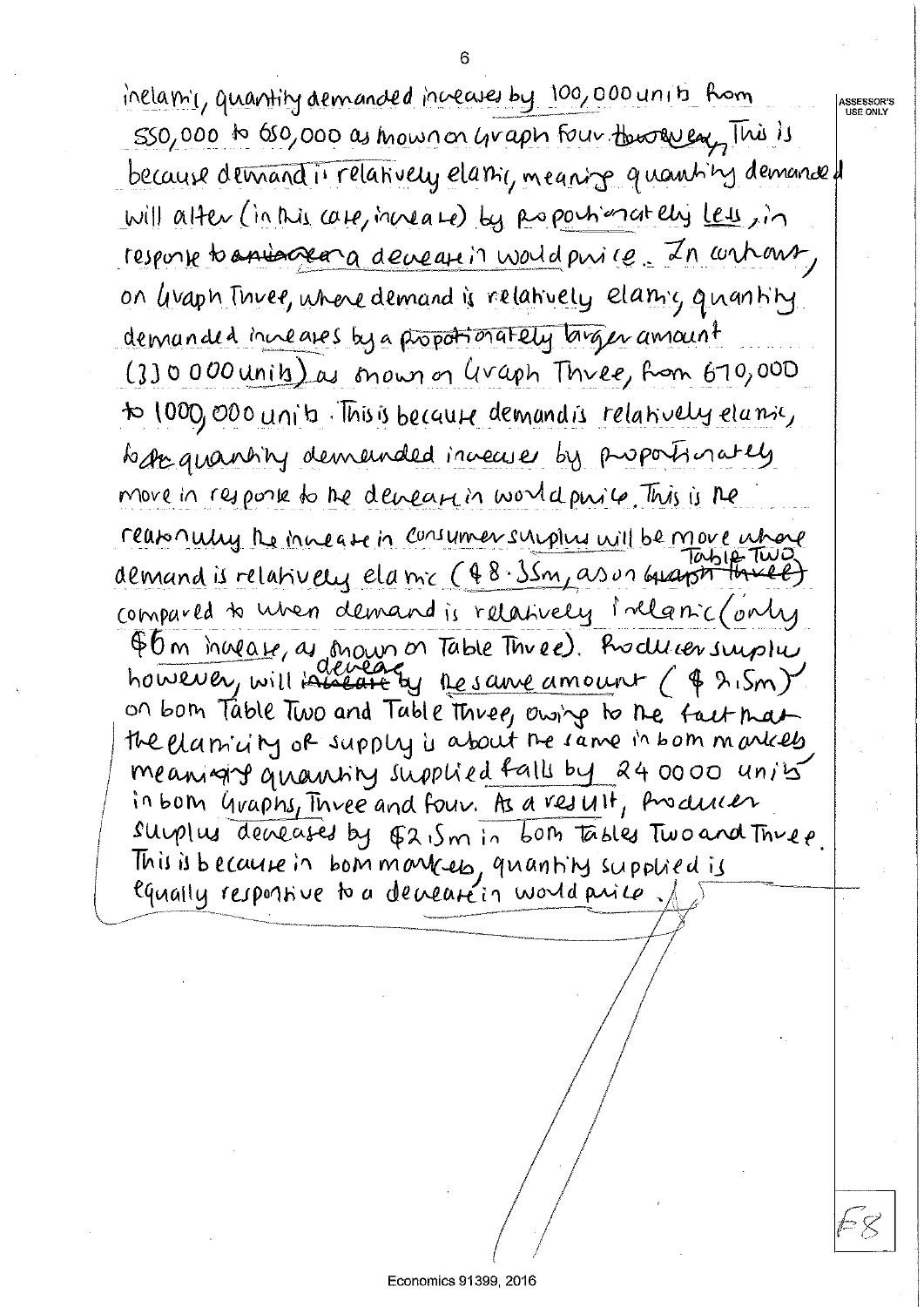inclamic, quantity demanded increases by 100,000 units from 550,000 to 650,000 as mow non graph four through This is because demand is relatively elamic, meaning quantity demanded will alter (in this case, have a se) by Roposhimately Less, in response to anisopera deverse in world price. In wrhows, on livaph Thuee, where demand is relatively elamic quantity demanded increases by a propotionately larger amount (3)0000 units) as mown on Graph Three, from 670,000 to 1000,000 units. This is because demand is relatively elamic, began quantity demanded innecuses by proportionately move in response to the demeasuring world purite This is the reasonally the innease in consumer surplus will be move where demand is relatively elamic (48.35m, as un busing two) compared to when demand is relatively inclanic (only \$6 m invease, as moun on Table Three). Producer surplus<br>however, will invease by resame amount ( \$ 2.5m) on bom Table Two and Table three, owing to the fact that the elamicity of supply is about the same in bom markeds meanight quantity supplied falls by 24 0000 units in bom Graphs, Three and four. As a result, Andular surplus deveases by E2.5m in bom tables Two and Three.

**ASSESSOR'S<br>USE ONLY** 

This is because in bommarries, quantity supplied is equally responsive to a decreate in world price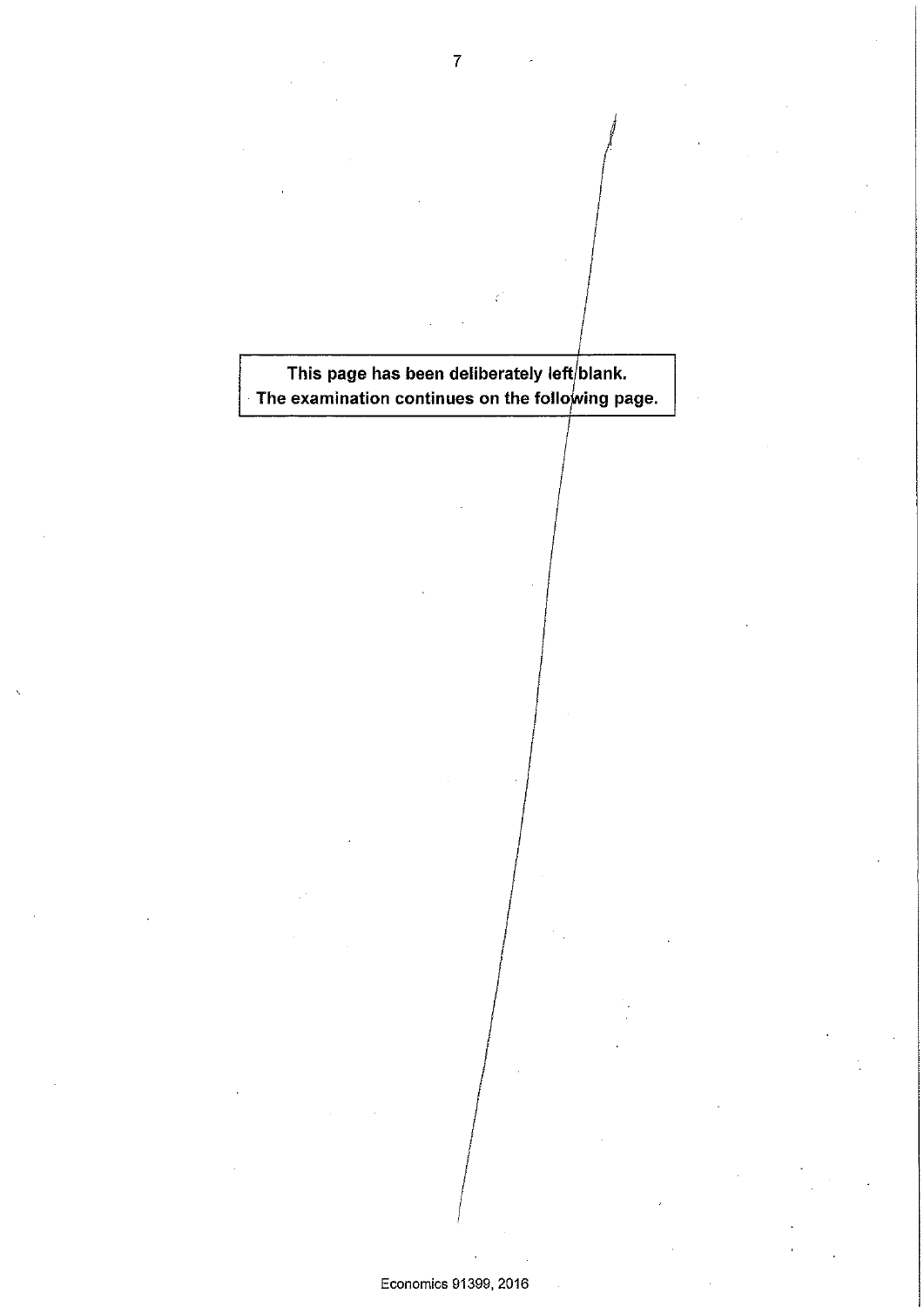This page has been deliberately left/blank. The examination continues on the following page.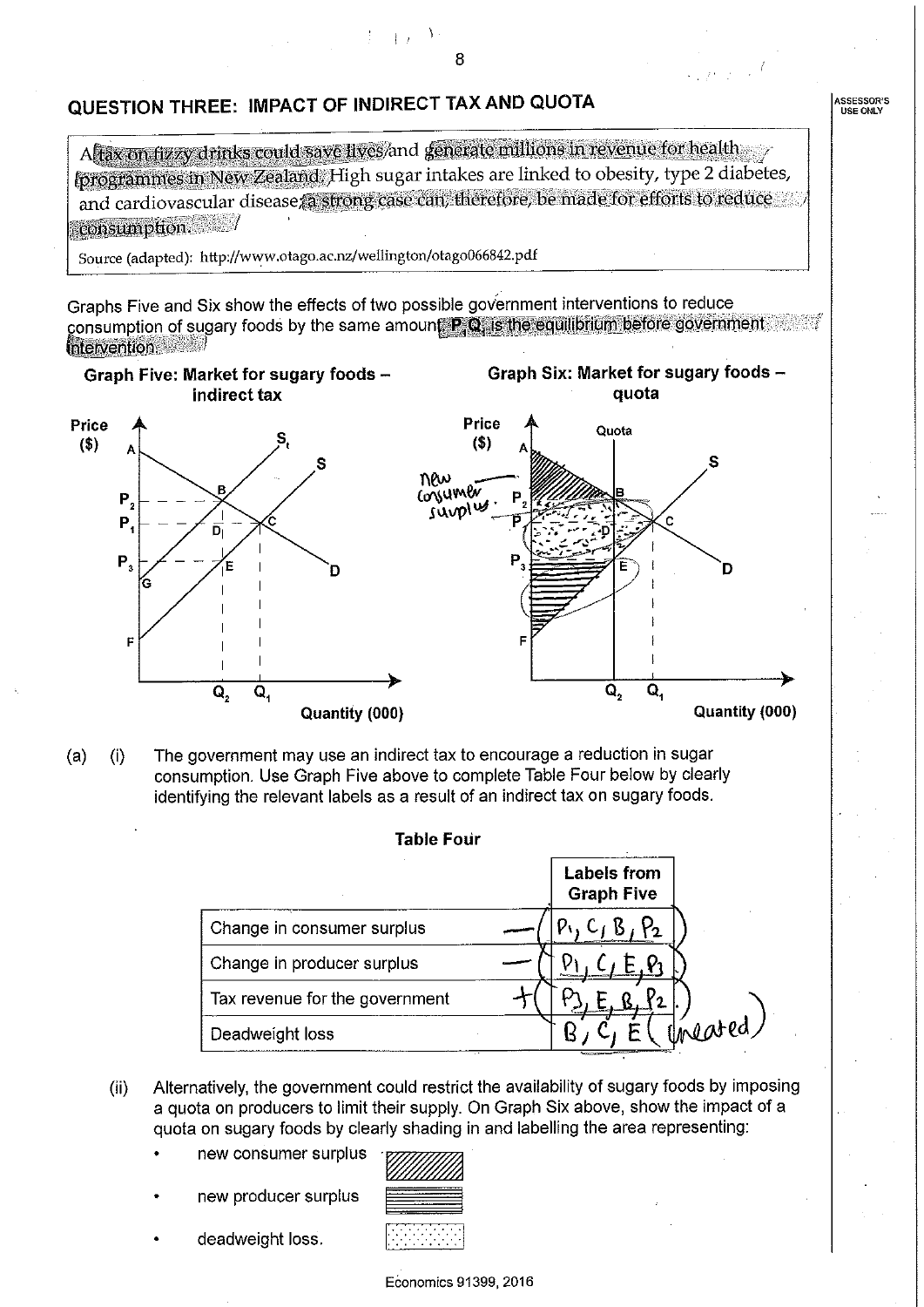### QUESTION THREE: IMPACT OF INDIRECT TAX AND QUOTA

Aftax on fizzy drinks could save lives/and generate millions in revenue for health (programmes in New Zealand: High sugar intakes are linked to obesity, type 2 diabetes, and cardiovascular disease a strong case can, therefore, be made for efforts to reduce consumption.

8

 $\left| \cdot \right|$ 

Source (adapted): http://www.otago.ac.nz/wellington/otago066842.pdf

Graphs Five and Six show the effects of two possible government interventions to reduce consumption of sugary foods by the same amount P Q is the equilibrium before government Intervention

Graph Six: Market for sugary foods -

Graph Five: Market for sugary foods indirect tax



The government may use an indirect tax to encourage a reduction in sugar  $(a)$  $(i)$ consumption. Use Graph Five above to complete Table Four below by clearly identifying the relevant labels as a result of an indirect tax on sugary foods.

| <b>Table Four</b>              |                                         |
|--------------------------------|-----------------------------------------|
|                                | <b>Labels from</b><br><b>Graph Five</b> |
| Change in consumer surplus     |                                         |
| Change in producer surplus     |                                         |
| Tax revenue for the government |                                         |
| Deadweight loss                | Uneared/                                |

- Alternatively, the government could restrict the availability of sugary foods by imposing  $(ii)$ a quota on producers to limit their supply. On Graph Six above, show the impact of a quota on sugary foods by clearly shading in and labelling the area representing:
	- new consumer surplus
	- new producer surplus
	- deadweight loss.



Economics 91399, 2016

**ASSESSOR'S**<br>USE ONLY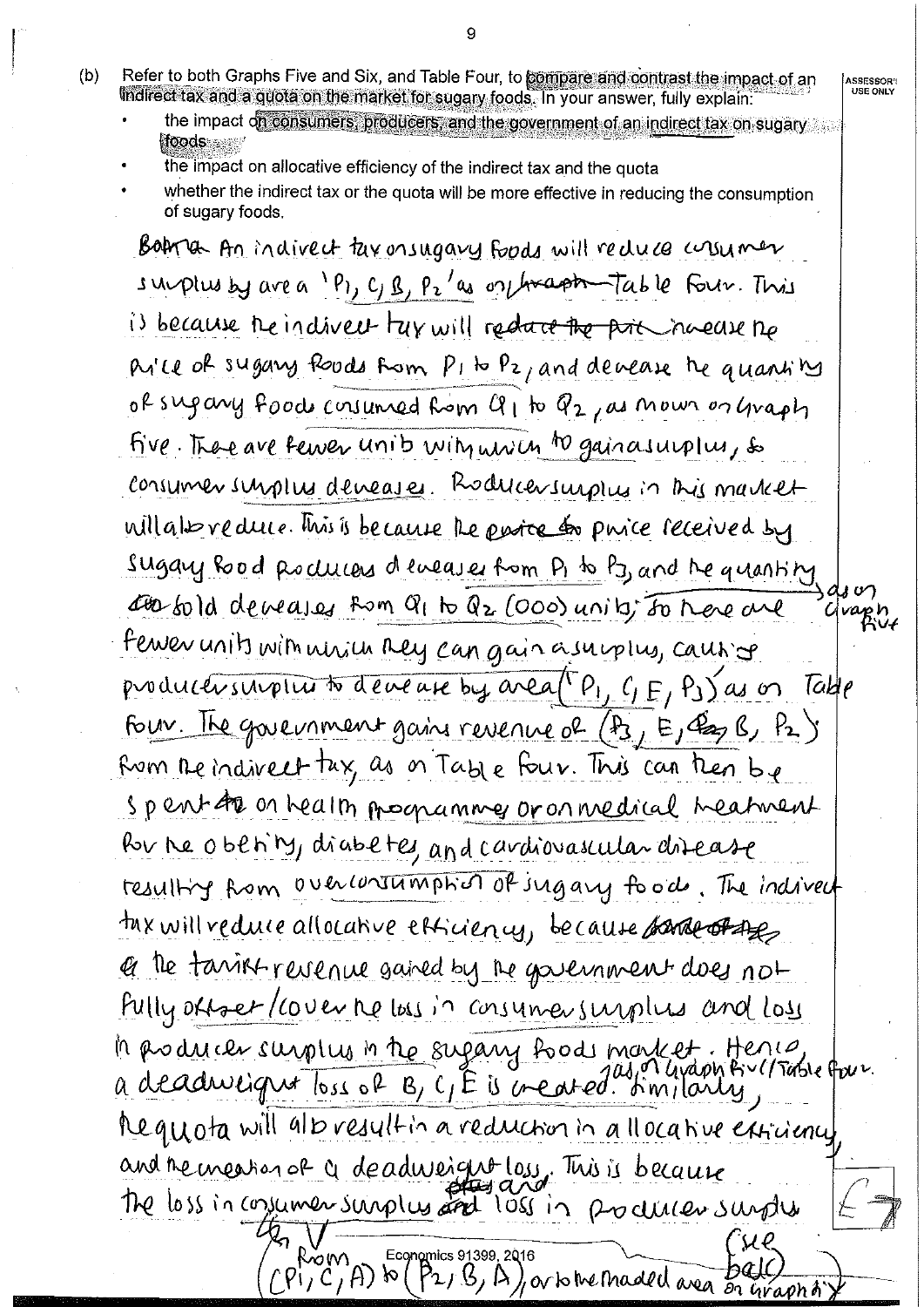- Refer to both Graphs Five and Six, and Table Four, to compare and contrast the impact of an  $(b)$ indirect tax and a quota on the market for sugary foods. In your answer, fully explain:
	- the impact on consumers, producers, and the government of an indirect tax on sugary foods and

**ASSESSOR'I**<br>USE ONLY

- the impact on allocative efficiency of the indirect tax and the quota
- whether the indirect tax or the quota will be more effective in reducing the consumption of sugary foods.

Boara An indivect taxonsugary foods will reduce crisumer supplus by are a 1P1, C, B, P2 as on hraph Table Four. This is because the indivert tay will reduce the price narrow the Price of sugary foods from PI to Pz, and devease he quantity of sugary food consumed from  $Q_1$  to  $Q_2$ , as now or graph five. There are fewer unib wity union to gainasurplus, so consumer surplus deveases. Roducersurplus in this market will also reduce. This is because the entre to purce received by sugary Rood Rochees deveases from P1 to P3, and the quantity of corsold deveases from Q1 to Q2 (000) units for there are vaph fewer units with which they can gain a supplus, causing productivamples to devenue by area (P, C, E, PJ) as on Take Four. The government gains revenue of  $(P_3, E, \mathcal{C}_2, P_1)$ Rom the indivert tax, as on Table Four. This can then be spent to on health programmes or on medical meatment Por ne oben'ny, diabetes, and cardiovascular disease resulting from overconsumption of ingary food. The indivert tax will reduce allocative efficiency, because parte of the et the tanist revenue gained by the government does not Pully orraer/cover ne loss in consumer surplus and loss la producer surplus in the sugary foods mortet. Hence, four.<br>a deadweignt loss of B, C, E is created. Similarly, Requota will alb result in a reduction in a llocative extricience and remession of a deadweight loss. This is because The loss in consumer surplus and loss in producer surplus Rom Economics 91399, 2016<br>(Pi, C, A) to (P2, B, A), or to the maded area on Graph of

9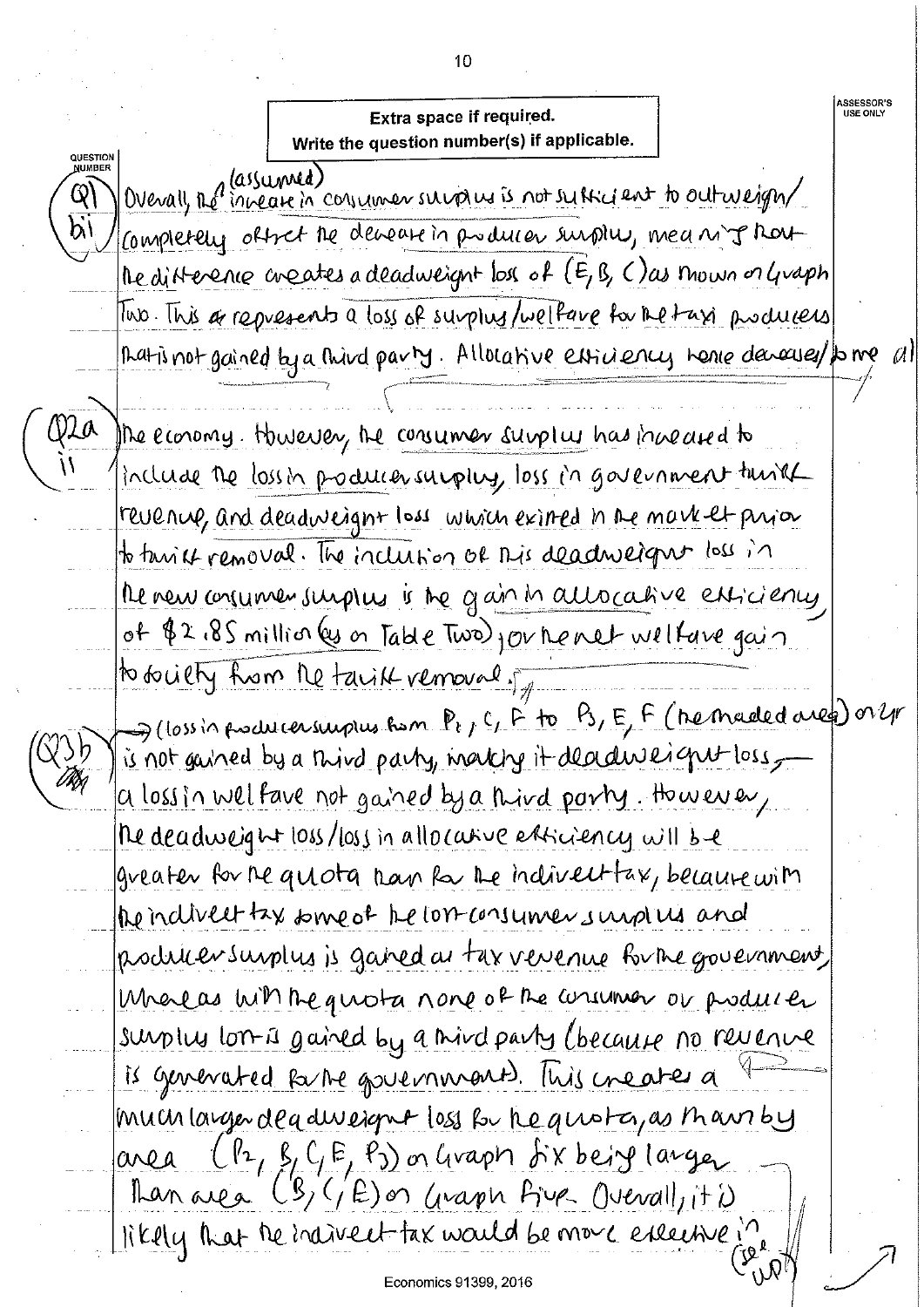**ASSESSOR'S<br>USE ONLY** Extra space if required. Write the question number(s) if applicable. QUESTION<br>NUMBER Overall, Re increase in concinent survains is not subscribed to outweight ගු) Completely offret the demant in producer surplus, meaning har Medifference creates a deadweight loss of (E, B, C) as mown or Graph Two. This a represents a loss of surplus/wellare for the taxi produces That is not gained by a third party. Allocative estimates we have denoused to me M The economy. However, the consumer surplus has increased to include the lossin producersupply, loss in government turit revenue, and deadweight loss which eximed in the market prior to tarriet removal. The inclusion of this deadweight loss in the new consumer surplus is the gain in allocative enticiency of \$2.85 million (es on Table Two) jou he net welfave gain to builty from the takik vernoual of  $\rightarrow$  (loss in producer surplus from  $P_{t}$ , C, F to Ps, E, F (he maded area) or yr ÿ}b is not gained by a third party, marking it deadweight loss, a loss in welfave not gained by a third party. However, The deadweight loss/loss in allocative enticiency will be greater for the quota than the indivertiax, because with the indivert tax some of the lost consumers und us and producter surplus is gained at tax versence for the government Melas with the guiota none of the current or producter surplus lon is gained by a mind party (because no revenue is generated forme governments. This creates a much larger deadwerput loss for he quoto, as than by  $(P_1, \beta, C, E, P_3)$  or Graph  $f$  ix being langer area Than area (B, GE) on Graph Five Overall, it is likely that the individent tax would be more executive in Economics 91399, 2016

10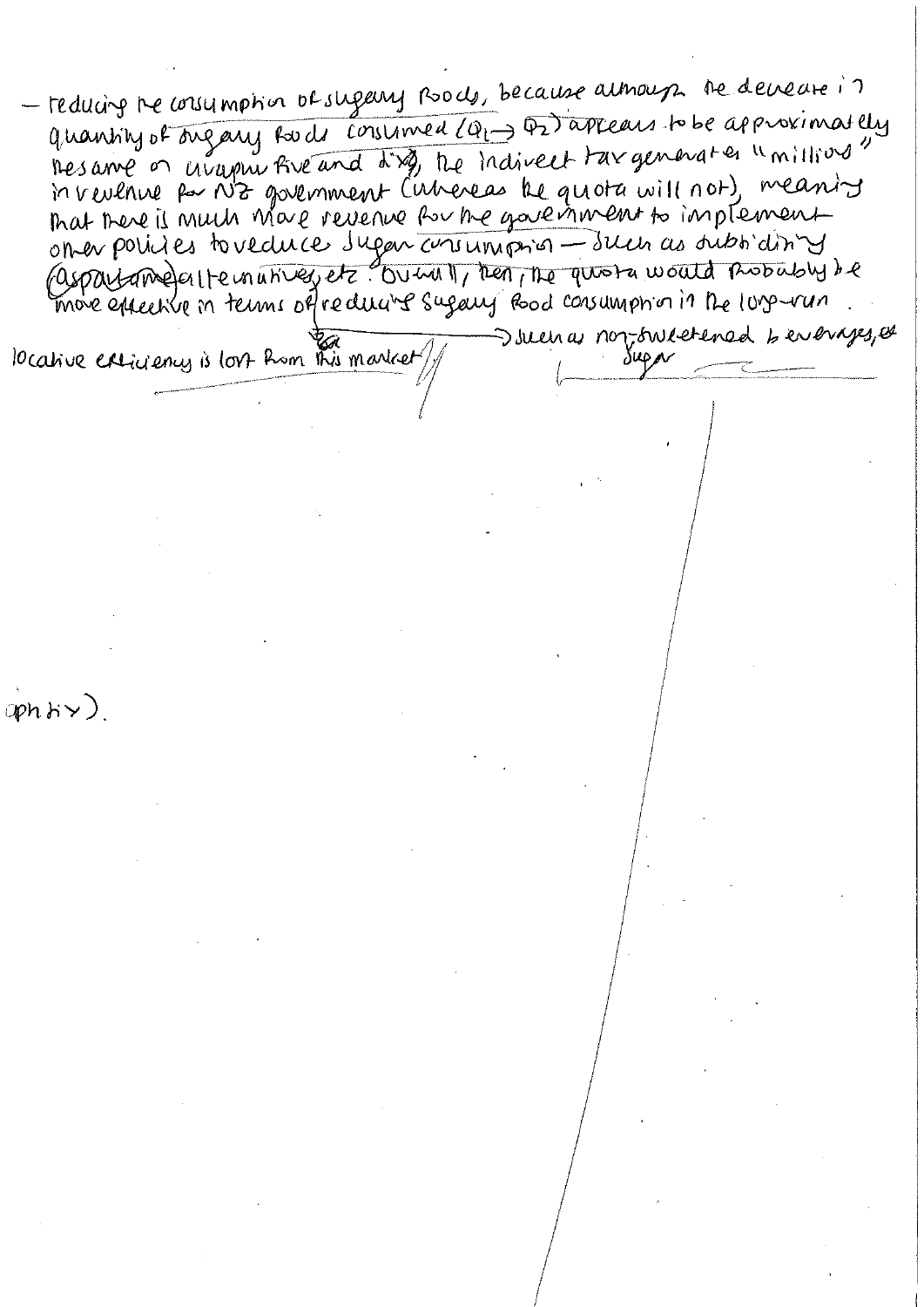reducing the consumption of sugery pools, because almoup the develope in quantity of ongany fords consumed (Q1-) D2) appears to be approximately hes années uvayent five and dig, the indivent tax generates "millions" on en policies to veduce sugar consumption - sur as subtiditives (aspartame) en le mativez et courre le pres plus par mout a mossabir de more éphendre in terms offreducine sugary Road consumption in the lors-van Juenas non-sweetened beverages, et locative extinency is lost from this market  $app.$